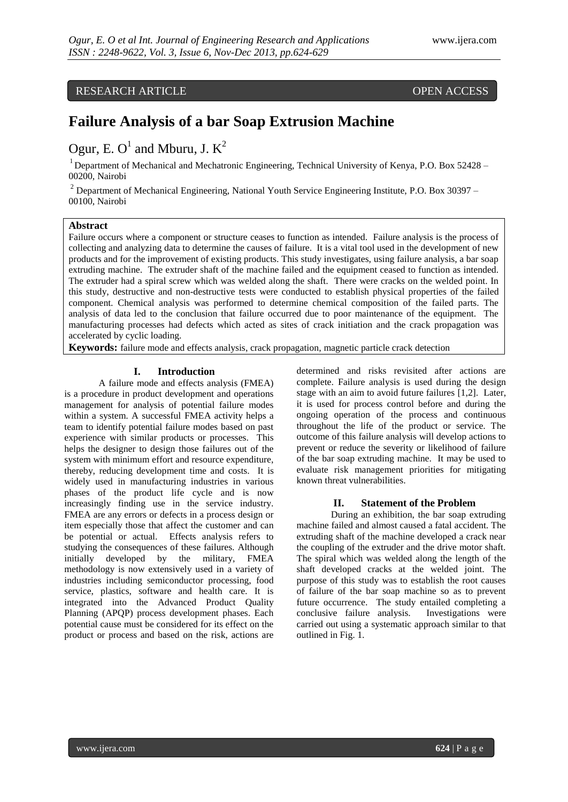# RESEARCH ARTICLE OPEN ACCESS

# **Failure Analysis of a bar Soap Extrusion Machine**

# Ogur, E. O<sup>1</sup> and Mburu, J.  $K^2$

<sup>1</sup> Department of Mechanical and Mechatronic Engineering, Technical University of Kenya, P.O. Box 52428 – 00200, Nairobi

<sup>2</sup> Department of Mechanical Engineering, National Youth Service Engineering Institute, P.O. Box 30397 – 00100, Nairobi

# **Abstract**

Failure occurs where a component or structure ceases to function as intended. Failure analysis is the process of collecting and analyzing data to determine the causes of failure. It is a vital tool used in the development of new products and for the improvement of existing products. This study investigates, using failure analysis, a bar soap extruding machine. The extruder shaft of the machine failed and the equipment ceased to function as intended. The extruder had a spiral screw which was welded along the shaft. There were cracks on the welded point. In this study, destructive and non-destructive tests were conducted to establish physical properties of the failed component. Chemical analysis was performed to determine chemical composition of the failed parts. The analysis of data led to the conclusion that failure occurred due to poor maintenance of the equipment. The manufacturing processes had defects which acted as sites of crack initiation and the crack propagation was accelerated by cyclic loading.

**Keywords:** failure mode and effects analysis, crack propagation, magnetic particle crack detection

#### **I. Introduction**

A failure mode and effects analysis (FMEA) is a procedure in product development and operations management for analysis of potential failure modes within a system. A successful FMEA activity helps a team to identify potential failure modes based on past experience with similar products or processes. This helps the designer to design those failures out of the system with minimum effort and resource expenditure, thereby, reducing development time and costs. It is widely used in manufacturing industries in various phases of the product life cycle and is now increasingly finding use in the service industry. FMEA are any errors or defects in a process design or item especially those that affect the customer and can be potential or actual. Effects analysis refers to studying the consequences of these failures. Although initially developed by the military, FMEA methodology is now extensively used in a variety of industries including semiconductor processing, food service, plastics, software and health care. It is integrated into the Advanced Product Quality Planning (APQP) process development phases. Each potential cause must be considered for its effect on the product or process and based on the risk, actions are determined and risks revisited after actions are complete. Failure analysis is used during the design stage with an aim to avoid future failures [1,2]. Later, it is used for process control before and during the ongoing operation of the process and continuous throughout the life of the product or service. The outcome of this failure analysis will develop actions to prevent or reduce the severity or likelihood of failure of the bar soap extruding machine. It may be used to evaluate risk management priorities for mitigating known threat vulnerabilities.

#### **II. Statement of the Problem**

During an exhibition, the bar soap extruding machine failed and almost caused a fatal accident. The extruding shaft of the machine developed a crack near the coupling of the extruder and the drive motor shaft. The spiral which was welded along the length of the shaft developed cracks at the welded joint. The purpose of this study was to establish the root causes of failure of the bar soap machine so as to prevent future occurrence. The study entailed completing a conclusive failure analysis. Investigations were carried out using a systematic approach similar to that outlined in Fig. 1.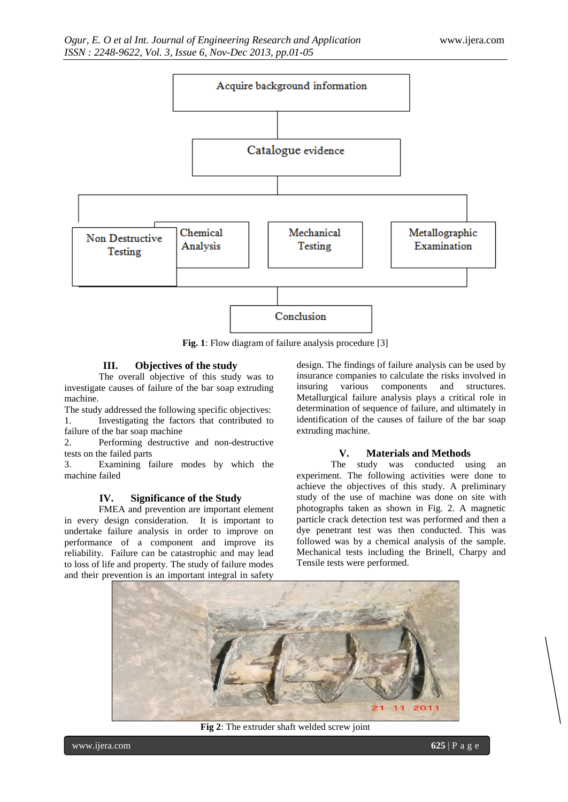

**Fig. 1**: Flow diagram of failure analysis procedure [3]

## **III. Objectives of the study**

The overall objective of this study was to investigate causes of failure of the bar soap extruding machine.

The study addressed the following specific objectives: 1. Investigating the factors that contributed to failure of the bar soap machine

2. Performing destructive and non-destructive tests on the failed parts

3. Examining failure modes by which the machine failed

#### **IV. Significance of the Study**

FMEA and prevention are important element in every design consideration. It is important to undertake failure analysis in order to improve on performance of a component and improve its reliability. Failure can be catastrophic and may lead to loss of life and property. The study of failure modes and their prevention is an important integral in safety

design. The findings of failure analysis can be used by insurance companies to calculate the risks involved in insuring various components and structures. Metallurgical failure analysis plays a critical role in determination of sequence of failure, and ultimately in identification of the causes of failure of the bar soap extruding machine.

# **V. Materials and Methods**

The study was conducted using an experiment. The following activities were done to achieve the objectives of this study. A preliminary study of the use of machine was done on site with photographs taken as shown in Fig. 2. A magnetic particle crack detection test was performed and then a dye penetrant test was then conducted. This was followed was by a chemical analysis of the sample. Mechanical tests including the Brinell, Charpy and Tensile tests were performed.



**Fig 2**: The extruder shaft welded screw joint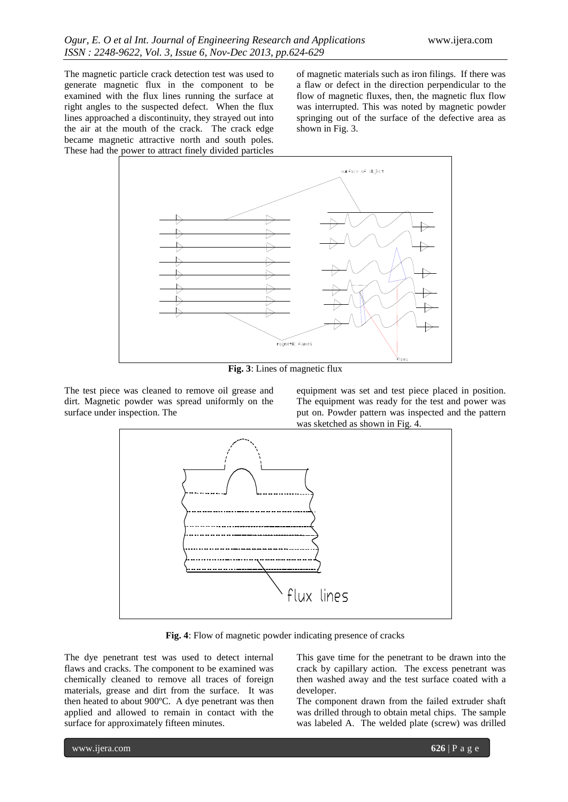The magnetic particle crack detection test was used to generate magnetic flux in the component to be examined with the flux lines running the surface at right angles to the suspected defect. When the flux lines approached a discontinuity, they strayed out into the air at the mouth of the crack. The crack edge became magnetic attractive north and south poles. These had the power to attract finely divided particles of magnetic materials such as iron filings. If there was a flaw or defect in the direction perpendicular to the flow of magnetic fluxes, then, the magnetic flux flow was interrupted. This was noted by magnetic powder springing out of the surface of the defective area as shown in Fig. 3.



**Fig. 3**: Lines of magnetic flux

The test piece was cleaned to remove oil grease and dirt. Magnetic powder was spread uniformly on the surface under inspection. The

equipment was set and test piece placed in position. The equipment was ready for the test and power was put on. Powder pattern was inspected and the pattern was sketched as shown in Fig. 4.



**Fig. 4**: Flow of magnetic powder indicating presence of cracks

The dye penetrant test was used to detect internal flaws and cracks. The component to be examined was chemically cleaned to remove all traces of foreign materials, grease and dirt from the surface. It was then heated to about 900ºC. A dye penetrant was then applied and allowed to remain in contact with the surface for approximately fifteen minutes.

This gave time for the penetrant to be drawn into the crack by capillary action. The excess penetrant was then washed away and the test surface coated with a developer.

The component drawn from the failed extruder shaft was drilled through to obtain metal chips. The sample was labeled A. The welded plate (screw) was drilled

www.ijera.com **626** | P a g e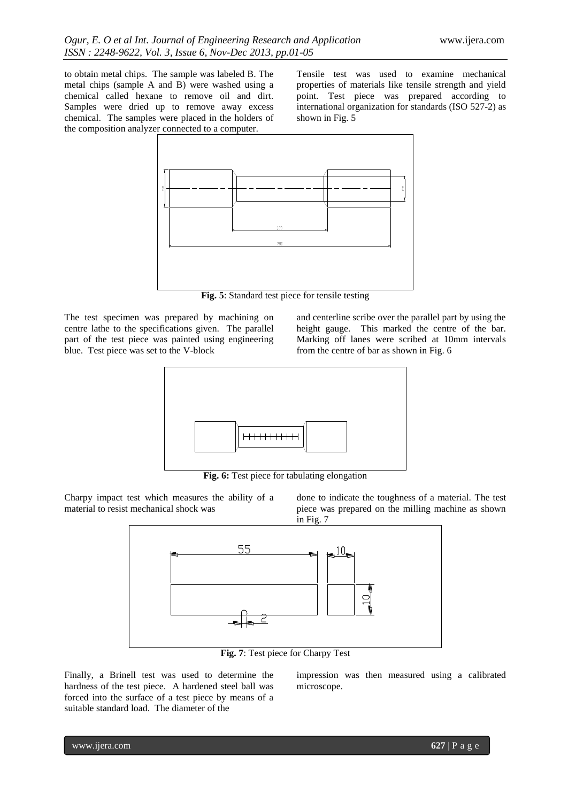to obtain metal chips. The sample was labeled B. The metal chips (sample A and B) were washed using a chemical called hexane to remove oil and dirt. Samples were dried up to remove away excess chemical. The samples were placed in the holders of the composition analyzer connected to a computer.

Tensile test was used to examine mechanical properties of materials like tensile strength and yield point. Test piece was prepared according to international organization for standards (ISO 527-2) as shown in Fig. 5



**Fig. 5**: Standard test piece for tensile testing

The test specimen was prepared by machining on centre lathe to the specifications given. The parallel part of the test piece was painted using engineering blue. Test piece was set to the V-block

and centerline scribe over the parallel part by using the height gauge. This marked the centre of the bar. Marking off lanes were scribed at 10mm intervals from the centre of bar as shown in Fig. 6



**Fig. 6:** Test piece for tabulating elongation

Charpy impact test which measures the ability of a material to resist mechanical shock was

done to indicate the toughness of a material. The test piece was prepared on the milling machine as shown in Fig. 7



**Fig. 7**: Test piece for Charpy Test

Finally, a Brinell test was used to determine the hardness of the test piece. A hardened steel ball was forced into the surface of a test piece by means of a suitable standard load. The diameter of the

impression was then measured using a calibrated microscope.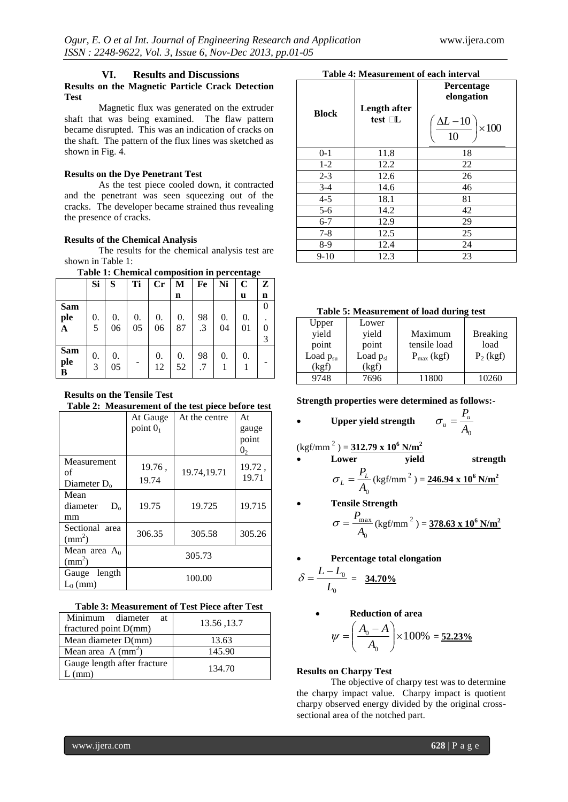# **VI. Results and Discussions**

# **Results on the Magnetic Particle Crack Detection Test**

Magnetic flux was generated on the extruder shaft that was being examined. The flaw pattern became disrupted. This was an indication of cracks on the shaft. The pattern of the flux lines was sketched as shown in Fig. 4.

## **Results on the Dye Penetrant Test**

As the test piece cooled down, it contracted and the penetrant was seen squeezing out of the cracks. The developer became strained thus revealing the presence of cracks.

#### **Results of the Chemical Analysis**

The results for the chemical analysis test are shown in Table 1:

#### **Table 1: Chemical composition in percentage**

| Tuble 11 Chemical composition in percentage |    |    |    |    |             |           |    |             |             |
|---------------------------------------------|----|----|----|----|-------------|-----------|----|-------------|-------------|
|                                             | Si | S  | Ti | Cr | M           | Fe        | Ni | $\mathbf C$ | Z           |
|                                             |    |    |    |    | $\mathbf n$ |           |    | u           | $\mathbf n$ |
| <b>Sam</b>                                  |    |    |    |    |             |           |    |             | 0           |
| ple                                         | 0. | 0. | 0. | 0. | 0.          | 98        | 0. | 0.          |             |
| A                                           | 5  | 06 | 05 | 06 | 87          | $\cdot$ 3 | 04 | 01          | 0           |
|                                             |    |    |    |    |             |           |    |             | 3           |
| <b>Sam</b>                                  | 0. | 0. |    | 0. | 0.          | 98        | 0. | 0.          |             |
| ple<br>В                                    | 3  | 05 |    | 12 | 52          | .7        |    |             |             |

**Results on the Tensile Test Table 2: Measurement of the test piece before test**

|                     | At Gauge   | At the centre | At             |  |
|---------------------|------------|---------------|----------------|--|
|                     | point $01$ |               | gauge          |  |
|                     |            |               | point          |  |
|                     |            |               | 0 <sub>2</sub> |  |
| Measurement         |            |               |                |  |
| of                  | 19.76,     | 19.74,19.71   | 19.72,         |  |
| Diameter $D_0$      | 19.74      |               | 19.71          |  |
| Mean                |            |               |                |  |
| diameter<br>$D_{o}$ | 19.75      | 19.725        | 19.715         |  |
| mm                  |            |               |                |  |
| Sectional area      | 306.35     | 305.58        | 305.26         |  |
| $\text{mm}^2$ )     |            |               |                |  |
| Mean area $A_0$     | 305.73     |               |                |  |
| $\text{m}^2$        |            |               |                |  |
| Gauge length        |            | 100.00        |                |  |
| $L_0$ (mm)          |            |               |                |  |

| Table 3: Measurement of Test Piece after Test |  |
|-----------------------------------------------|--|
|-----------------------------------------------|--|

| Minimum diameter<br>at      | 13.56, 13.7 |
|-----------------------------|-------------|
| fractured point D(mm)       |             |
| Mean diameter D(mm)         | 13.63       |
| Mean area $A \, (mm2)$      | 145.90      |
| Gauge length after fracture | 134.70      |

# **Table 4: Measurement of each interval**

| <b>Block</b> | Length after<br>test $\Box L$ | Percentage<br>elongation<br>$\frac{\Delta L - 10}{10}$<br>$\times 100$ |
|--------------|-------------------------------|------------------------------------------------------------------------|
| $0 - 1$      | 11.8                          | 18                                                                     |
| $1 - 2$      | 12.2                          | 22                                                                     |
| $2 - 3$      | 12.6                          | 26                                                                     |
| $3 - 4$      | 14.6                          | 46                                                                     |
| $4 - 5$      | 18.1                          | 81                                                                     |
| $5 - 6$      | 14.2                          | 42                                                                     |
| $6 - 7$      | 12.9                          | 29                                                                     |
| $7 - 8$      | 12.5                          | 25                                                                     |
| $8-9$        | 12.4                          | 24                                                                     |
| $9-10$       | 12.3                          | 23                                                                     |

#### **Table 5: Measurement of load during test**

| Upper         | Lower         |                 |                 |
|---------------|---------------|-----------------|-----------------|
| yield         | yield         | Maximum         | <b>Breaking</b> |
| point         | point         | tensile load    | load            |
| Load $p_{su}$ | Load $p_{sl}$ | $P_{max}$ (kgf) | $P_2$ (kgf)     |
| (kgf)         | (kgf)         |                 |                 |
| 9748          | 7696          | 11800           | 10260           |

**Strength properties were determined as follows:-**

• Upper yield strength 
$$
\sigma_u = \frac{P_u}{A_0}
$$

$$
(\text{kgf/mm}^2) = 312.79 \times 10^6 \text{ N/m}^2
$$

$$
\sigma_L = \frac{P_L}{A_0} (\text{kgf/mm}^2) = \frac{246.94 \times 10^6 \text{ N/m}^2}{246.94 \times 10^6 \text{ N/m}^2}
$$

- **Tensile Strength**  0 max *A*  $\sigma = \frac{P_{\text{max}}}{P}$  (kgf/mm<sup>2</sup>) = 378.63 x 10<sup>6</sup> N/m<sup>2</sup>
- **Percentage total elongation**

$$
\delta = \frac{L - L_0}{L_0} = \frac{34.70\%}{}
$$

**Reduction of area** 

$$
\psi = \left(\frac{A_0 - A}{A_0}\right) \times 100\% = \underline{52.23\%}
$$

## **Results on Charpy Test**

The objective of charpy test was to determine the charpy impact value. Charpy impact is quotient charpy observed energy divided by the original crosssectional area of the notched part.